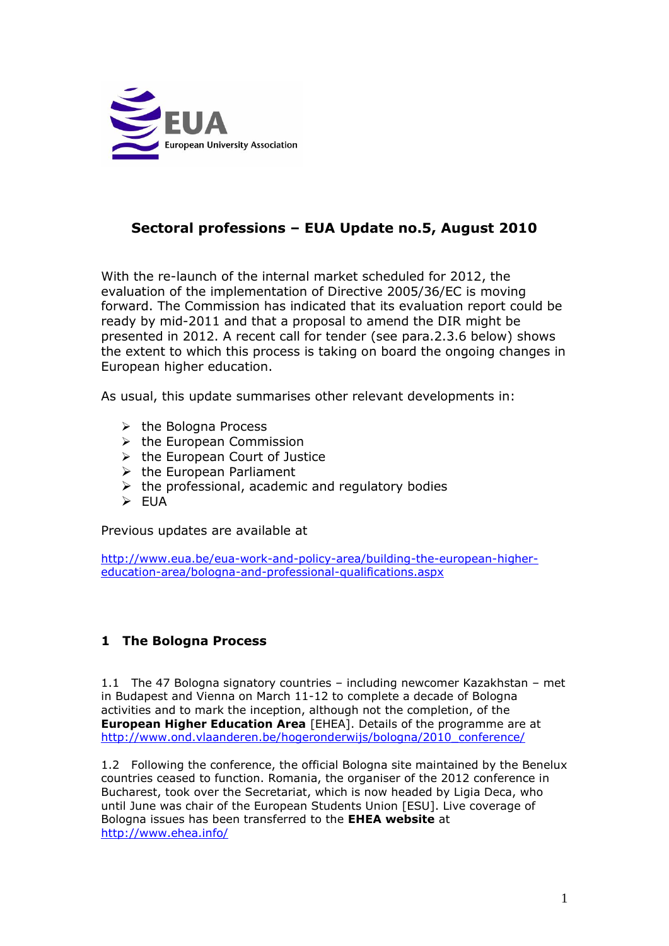

# **Sectoral professions – EUA Update no.5, August 2010**

With the re-launch of the internal market scheduled for 2012, the evaluation of the implementation of Directive 2005/36/EC is moving forward. The Commission has indicated that its evaluation report could be ready by mid-2011 and that a proposal to amend the DIR might be presented in 2012. A recent call for tender (see para.2.3.6 below) shows the extent to which this process is taking on board the ongoing changes in European higher education.

As usual, this update summarises other relevant developments in:

- $\triangleright$  the Bologna Process
- $\triangleright$  the European Commission
- $\triangleright$  the European Court of Justice
- $\triangleright$  the European Parliament
- $\triangleright$  the professional, academic and regulatory bodies
- $\triangleright$  FUA

Previous updates are available at

[http://www.eua.be/eua-work-and-policy-area/building-the-european-higher](http://www.eua.be/eua-work-and-policy-area/building-the-european-higher-education-area/bologna-and-professional-qualifications.aspx)[education-area/bologna-and-professional-qualifications.aspx](http://www.eua.be/eua-work-and-policy-area/building-the-european-higher-education-area/bologna-and-professional-qualifications.aspx)

### **1 The Bologna Process**

1.1 The 47 Bologna signatory countries – including newcomer Kazakhstan – met in Budapest and Vienna on March 11-12 to complete a decade of Bologna activities and to mark the inception, although not the completion, of the **European Higher Education Area** [EHEA]. Details of the programme are at [http://www.ond.vlaanderen.be/hogeronderwijs/bologna/2010\\_conference/](http://www.ond.vlaanderen.be/hogeronderwijs/bologna/2010_conference/)

1.2 Following the conference, the official Bologna site maintained by the Benelux countries ceased to function. Romania, the organiser of the 2012 conference in Bucharest, took over the Secretariat, which is now headed by Ligia Deca, who until June was chair of the European Students Union [ESU]. Live coverage of Bologna issues has been transferred to the **EHEA website** at <http://www.ehea.info/>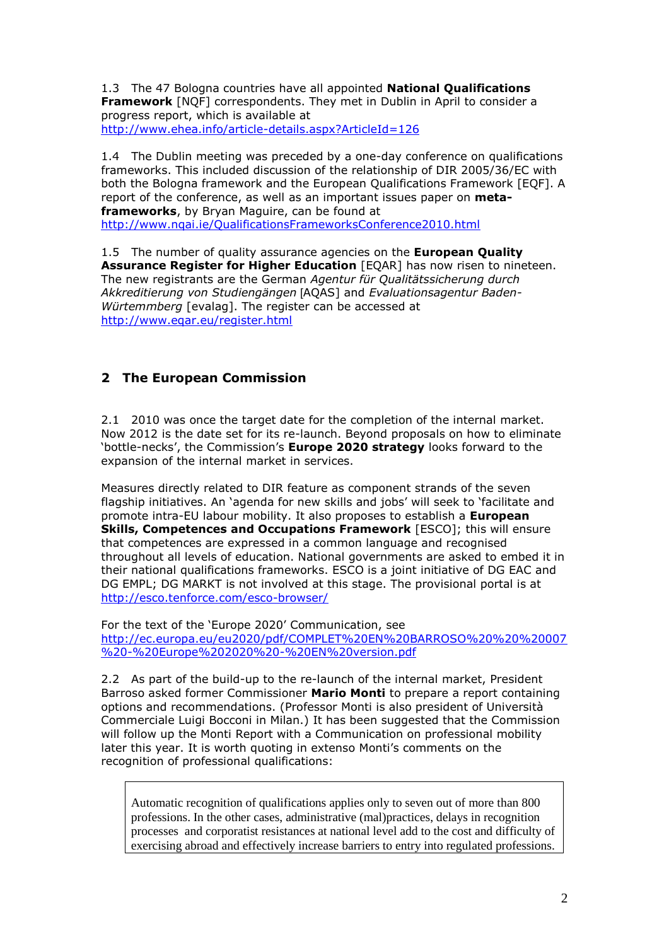1.3 The 47 Bologna countries have all appointed **National Qualifications Framework** [NQF] correspondents. They met in Dublin in April to consider a progress report, which is available at <http://www.ehea.info/article-details.aspx?ArticleId=126>

1.4 The Dublin meeting was preceded by a one-day conference on qualifications frameworks. This included discussion of the relationship of DIR 2005/36/EC with both the Bologna framework and the European Qualifications Framework [EQF]. A report of the conference, as well as an important issues paper on **metaframeworks**, by Bryan Maguire, can be found at <http://www.nqai.ie/QualificationsFrameworksConference2010.html>

1.5 The number of quality assurance agencies on the **European Quality Assurance Register for Higher Education** [EQAR] has now risen to nineteen. The new registrants are the German *Agentur für Qualitätssicherung durch Akkreditierung von Studiengängen* [AQAS] and *Evaluationsagentur Baden-Würtemmberg* [evalag]. The register can be accessed at <http://www.eqar.eu/register.html>

# **2 The European Commission**

2.1 2010 was once the target date for the completion of the internal market. Now 2012 is the date set for its re-launch. Beyond proposals on how to eliminate "bottle-necks", the Commission"s **Europe 2020 strategy** looks forward to the expansion of the internal market in services.

Measures directly related to DIR feature as component strands of the seven flagship initiatives. An 'agenda for new skills and jobs' will seek to 'facilitate and promote intra-EU labour mobility. It also proposes to establish a **European Skills, Competences and Occupations Framework** [ESCO]; this will ensure that competences are expressed in a common language and recognised throughout all levels of education. National governments are asked to embed it in their national qualifications frameworks. ESCO is a joint initiative of DG EAC and DG EMPL; DG MARKT is not involved at this stage. The provisional portal is at <http://esco.tenforce.com/esco-browser/>

For the text of the "Europe 2020" Communication, see [http://ec.europa.eu/eu2020/pdf/COMPLET%20EN%20BARROSO%20%20%20007](http://ec.europa.eu/eu2020/pdf/COMPLET%20EN%20BARROSO%20%20%20007%20-%20Europe%202020%20-%20EN%20version.pdf) [%20-%20Europe%202020%20-%20EN%20version.pdf](http://ec.europa.eu/eu2020/pdf/COMPLET%20EN%20BARROSO%20%20%20007%20-%20Europe%202020%20-%20EN%20version.pdf)

2.2 As part of the build-up to the re-launch of the internal market, President Barroso asked former Commissioner **Mario Monti** to prepare a report containing options and recommendations. (Professor Monti is also president of Università Commerciale Luigi Bocconi in Milan.) It has been suggested that the Commission will follow up the Monti Report with a Communication on professional mobility later this year. It is worth quoting in extenso Monti's comments on the recognition of professional qualifications:

Automatic recognition of qualifications applies only to seven out of more than 800 professions. In the other cases, administrative (mal)practices, delays in recognition processes and corporatist resistances at national level add to the cost and difficulty of exercising abroad and effectively increase barriers to entry into regulated professions.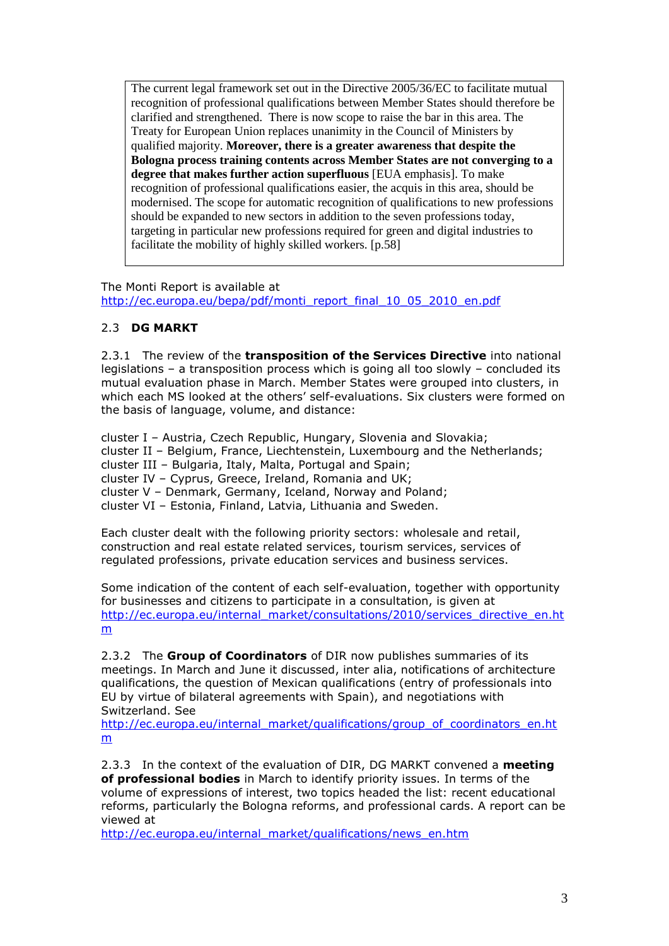The current legal framework set out in the Directive 2005/36/EC to facilitate mutual recognition of professional qualifications between Member States should therefore be clarified and strengthened. There is now scope to raise the bar in this area. The Treaty for European Union replaces unanimity in the Council of Ministers by qualified majority. **Moreover, there is a greater awareness that despite the Bologna process training contents across Member States are not converging to a degree that makes further action superfluous** [EUA emphasis]. To make recognition of professional qualifications easier, the acquis in this area, should be modernised. The scope for automatic recognition of qualifications to new professions should be expanded to new sectors in addition to the seven professions today, targeting in particular new professions required for green and digital industries to facilitate the mobility of highly skilled workers. [p.58]

The Monti Report is available at [http://ec.europa.eu/bepa/pdf/monti\\_report\\_final\\_10\\_05\\_2010\\_en.pdf](http://ec.europa.eu/bepa/pdf/monti_report_final_10_05_2010_en.pdf)

### 2.3 **DG MARKT**

2.3.1 The review of the **transposition of the Services Directive** into national legislations – a transposition process which is going all too slowly – concluded its mutual evaluation phase in March. Member States were grouped into clusters, in which each MS looked at the others' self-evaluations. Six clusters were formed on the basis of language, volume, and distance:

cluster I – Austria, Czech Republic, Hungary, Slovenia and Slovakia; cluster II – Belgium, France, Liechtenstein, Luxembourg and the Netherlands; cluster III – Bulgaria, Italy, Malta, Portugal and Spain; cluster IV – Cyprus, Greece, Ireland, Romania and UK; cluster V – Denmark, Germany, Iceland, Norway and Poland; cluster VI – Estonia, Finland, Latvia, Lithuania and Sweden.

Each cluster dealt with the following priority sectors: wholesale and retail, construction and real estate related services, tourism services, services of regulated professions, private education services and business services.

Some indication of the content of each self-evaluation, together with opportunity for businesses and citizens to participate in a consultation, is given at [http://ec.europa.eu/internal\\_market/consultations/2010/services\\_directive\\_en.ht](http://ec.europa.eu/internal_market/consultations/2010/services_directive_en.htm) [m](http://ec.europa.eu/internal_market/consultations/2010/services_directive_en.htm)

2.3.2 The **Group of Coordinators** of DIR now publishes summaries of its meetings. In March and June it discussed, inter alia, notifications of architecture qualifications, the question of Mexican qualifications (entry of professionals into EU by virtue of bilateral agreements with Spain), and negotiations with Switzerland. See

[http://ec.europa.eu/internal\\_market/qualifications/group\\_of\\_coordinators\\_en.ht](http://ec.europa.eu/internal_market/qualifications/group_of_coordinators_en.htm) [m](http://ec.europa.eu/internal_market/qualifications/group_of_coordinators_en.htm)

2.3.3In the context of the evaluation of DIR, DG MARKT convened a **meeting of professional bodies** in March to identify priority issues. In terms of the volume of expressions of interest, two topics headed the list: recent educational reforms, particularly the Bologna reforms, and professional cards. A report can be viewed at

[http://ec.europa.eu/internal\\_market/qualifications/news\\_en.htm](http://ec.europa.eu/internal_market/qualifications/news_en.htm)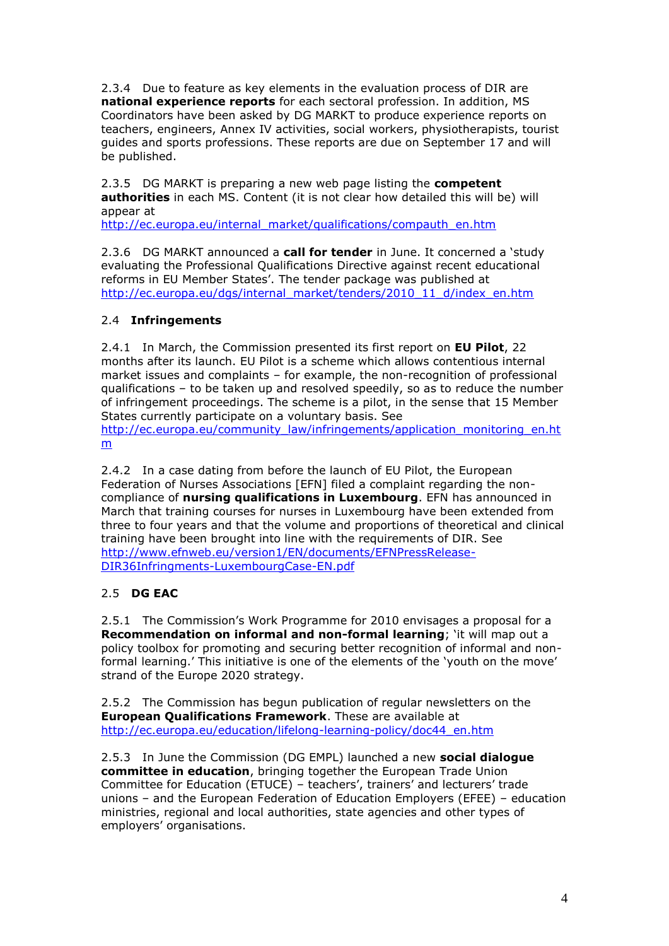2.3.4 Due to feature as key elements in the evaluation process of DIR are **national experience reports** for each sectoral profession. In addition, MS Coordinators have been asked by DG MARKT to produce experience reports on teachers, engineers, Annex IV activities, social workers, physiotherapists, tourist guides and sports professions. These reports are due on September 17 and will be published.

2.3.5 DG MARKT is preparing a new web page listing the **competent authorities** in each MS. Content (it is not clear how detailed this will be) will appear at

[http://ec.europa.eu/internal\\_market/qualifications/compauth\\_en.htm](http://ec.europa.eu/internal_market/qualifications/compauth_en.htm)

2.3.6 DG MARKT announced a **call for tender** in June. It concerned a "study evaluating the Professional Qualifications Directive against recent educational reforms in EU Member States'. The tender package was published at [http://ec.europa.eu/dgs/internal\\_market/tenders/2010\\_11\\_d/index\\_en.htm](http://ec.europa.eu/dgs/internal_market/tenders/2010_11_d/index_en.htm)

### 2.4 **Infringements**

2.4.1 In March, the Commission presented its first report on **EU Pilot**, 22 months after its launch. EU Pilot is a scheme which allows contentious internal market issues and complaints – for example, the non-recognition of professional qualifications – to be taken up and resolved speedily, so as to reduce the number of infringement proceedings. The scheme is a pilot, in the sense that 15 Member States currently participate on a voluntary basis. See [http://ec.europa.eu/community\\_law/infringements/application\\_monitoring\\_en.ht](http://ec.europa.eu/community_law/infringements/application_monitoring_en.htm) [m](http://ec.europa.eu/community_law/infringements/application_monitoring_en.htm)

2.4.2 In a case dating from before the launch of EU Pilot, the European Federation of Nurses Associations [EFN] filed a complaint regarding the noncompliance of **nursing qualifications in Luxembourg**. EFN has announced in March that training courses for nurses in Luxembourg have been extended from three to four years and that the volume and proportions of theoretical and clinical training have been brought into line with the requirements of DIR. See [http://www.efnweb.eu/version1/EN/documents/EFNPressRelease-](http://www.efnweb.eu/version1/EN/documents/EFNPressRelease-DIR36Infringments-LuxembourgCase-EN.pdf)[DIR36Infringments-LuxembourgCase-EN.pdf](http://www.efnweb.eu/version1/EN/documents/EFNPressRelease-DIR36Infringments-LuxembourgCase-EN.pdf)

### 2.5 **DG EAC**

2.5.1 The Commission"s Work Programme for 2010 envisages a proposal for a **Recommendation on informal and non-formal learning**; "it will map out a policy toolbox for promoting and securing better recognition of informal and nonformal learning.' This initiative is one of the elements of the 'youth on the move' strand of the Europe 2020 strategy.

2.5.2 The Commission has begun publication of regular newsletters on the **European Qualifications Framework**. These are available at [http://ec.europa.eu/education/lifelong-learning-policy/doc44\\_en.htm](http://ec.europa.eu/education/lifelong-learning-policy/doc44_en.htm)

2.5.3 In June the Commission (DG EMPL) launched a new **social dialogue committee in education**, bringing together the European Trade Union Committee for Education (ETUCE) – teachers', trainers' and lecturers' trade unions – and the European Federation of Education Employers (EFEE) – education ministries, regional and local authorities, state agencies and other types of employers" organisations.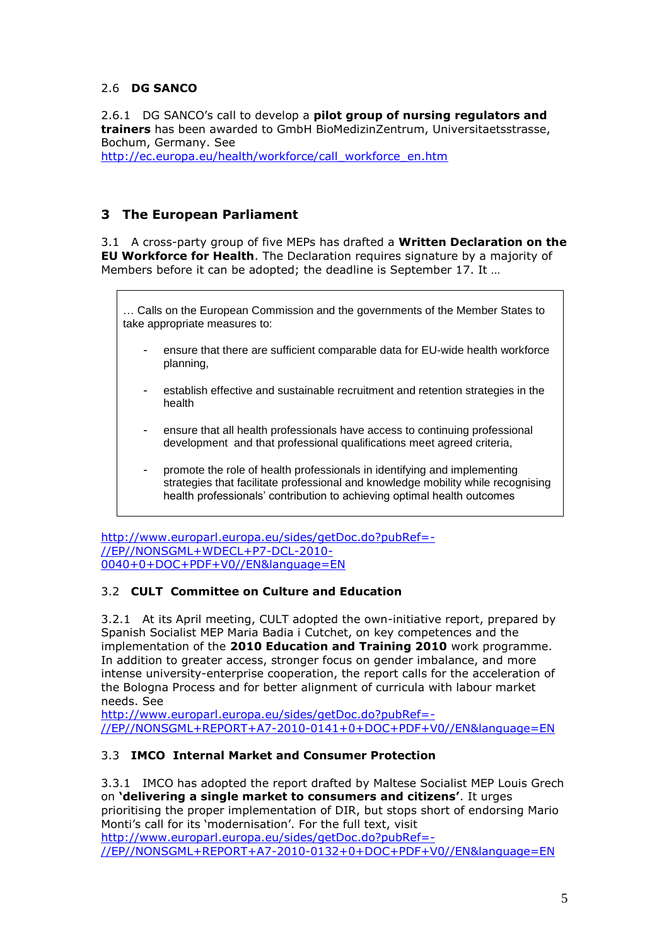### 2.6 **DG SANCO**

2.6.1 DG SANCO"s call to develop a **pilot group of nursing regulators and trainers** has been awarded to GmbH BioMedizinZentrum, Universitaetsstrasse, Bochum, Germany. See

[http://ec.europa.eu/health/workforce/call\\_workforce\\_en.htm](http://ec.europa.eu/health/workforce/call_workforce_en.htm)

### **3 The European Parliament**

3.1 A cross-party group of five MEPs has drafted a **Written Declaration on the EU Workforce for Health**. The Declaration requires signature by a majority of Members before it can be adopted; the deadline is September 17. It …

… Calls on the European Commission and the governments of the Member States to take appropriate measures to:

- ensure that there are sufficient comparable data for EU-wide health workforce planning,
- establish effective and sustainable recruitment and retention strategies in the health
- ensure that all health professionals have access to continuing professional development and that professional qualifications meet agreed criteria,
- promote the role of health professionals in identifying and implementing strategies that facilitate professional and knowledge mobility while recognising health professionals' contribution to achieving optimal health outcomes

[http://www.europarl.europa.eu/sides/getDoc.do?pubRef=-](http://www.europarl.europa.eu/sides/getDoc.do?pubRef=-//EP//NONSGML+WDECL+P7-DCL-2010-0040+0+DOC+PDF+V0//EN&language=EN) [//EP//NONSGML+WDECL+P7-DCL-2010-](http://www.europarl.europa.eu/sides/getDoc.do?pubRef=-//EP//NONSGML+WDECL+P7-DCL-2010-0040+0+DOC+PDF+V0//EN&language=EN) [0040+0+DOC+PDF+V0//EN&language=EN](http://www.europarl.europa.eu/sides/getDoc.do?pubRef=-//EP//NONSGML+WDECL+P7-DCL-2010-0040+0+DOC+PDF+V0//EN&language=EN)

### 3.2 **CULT Committee on Culture and Education**

3.2.1 At its April meeting, CULT adopted the own-initiative report, prepared by Spanish Socialist MEP Maria Badia i Cutchet, on key competences and the implementation of the **2010 Education and Training 2010** work programme. In addition to greater access, stronger focus on gender imbalance, and more intense university-enterprise cooperation, the report calls for the acceleration of the Bologna Process and for better alignment of curricula with labour market needs. See

[http://www.europarl.europa.eu/sides/getDoc.do?pubRef=-](http://www.europarl.europa.eu/sides/getDoc.do?pubRef=-//EP//NONSGML+REPORT+A7-2010-0141+0+DOC+PDF+V0//EN&language=EN) [//EP//NONSGML+REPORT+A7-2010-0141+0+DOC+PDF+V0//EN&language=EN](http://www.europarl.europa.eu/sides/getDoc.do?pubRef=-//EP//NONSGML+REPORT+A7-2010-0141+0+DOC+PDF+V0//EN&language=EN)

### 3.3 **IMCO Internal Market and Consumer Protection**

3.3.1 IMCO has adopted the report drafted by Maltese Socialist MEP Louis Grech on **"delivering a single market to consumers and citizens"**. It urges prioritising the proper implementation of DIR, but stops short of endorsing Mario Monti's call for its 'modernisation'. For the full text, visit [http://www.europarl.europa.eu/sides/getDoc.do?pubRef=-](http://www.europarl.europa.eu/sides/getDoc.do?pubRef=-//EP//NONSGML+REPORT+A7-2010-0132+0+DOC+PDF+V0//EN&language=EN) [//EP//NONSGML+REPORT+A7-2010-0132+0+DOC+PDF+V0//EN&language=EN](http://www.europarl.europa.eu/sides/getDoc.do?pubRef=-//EP//NONSGML+REPORT+A7-2010-0132+0+DOC+PDF+V0//EN&language=EN)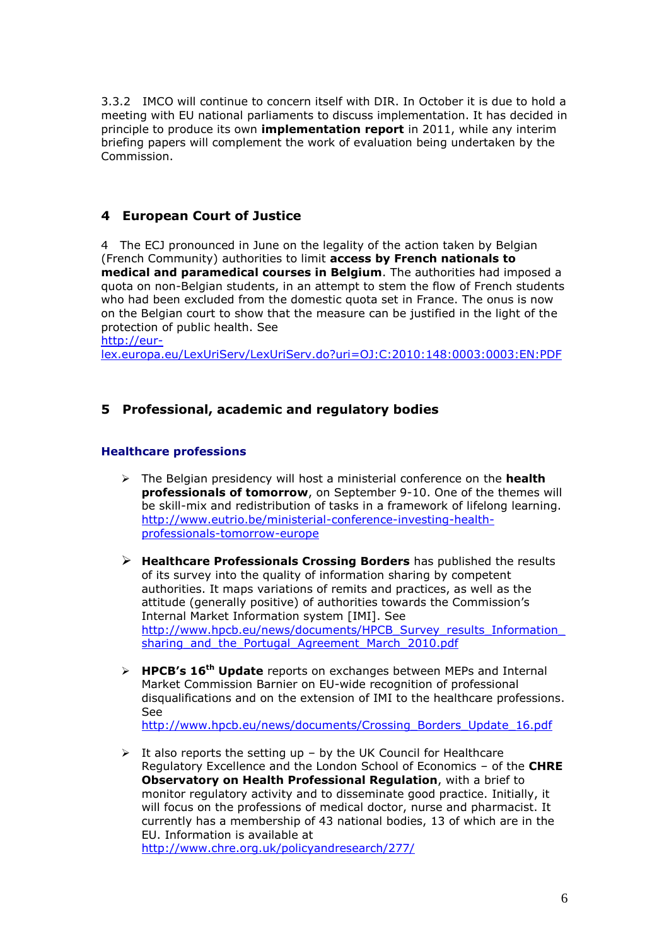3.3.2 IMCO will continue to concern itself with DIR. In October it is due to hold a meeting with EU national parliaments to discuss implementation. It has decided in principle to produce its own **implementation report** in 2011, while any interim briefing papers will complement the work of evaluation being undertaken by the Commission.

# **4 European Court of Justice**

4 The ECJ pronounced in June on the legality of the action taken by Belgian (French Community) authorities to limit **access by French nationals to medical and paramedical courses in Belgium**. The authorities had imposed a quota on non-Belgian students, in an attempt to stem the flow of French students who had been excluded from the domestic quota set in France. The onus is now on the Belgian court to show that the measure can be justified in the light of the protection of public health. See

[http://eur-](http://eur-lex.europa.eu/LexUriServ/LexUriServ.do?uri=OJ:C:2010:148:0003:0003:EN:PDF)

[lex.europa.eu/LexUriServ/LexUriServ.do?uri=OJ:C:2010:148:0003:0003:EN:PDF](http://eur-lex.europa.eu/LexUriServ/LexUriServ.do?uri=OJ:C:2010:148:0003:0003:EN:PDF)

### **5 Professional, academic and regulatory bodies**

### **Healthcare professions**

- The Belgian presidency will host a ministerial conference on the **health professionals of tomorrow**, on September 9-10. One of the themes will be skill-mix and redistribution of tasks in a framework of lifelong learning. [http://www.eutrio.be/ministerial-conference-investing-health](http://www.eutrio.be/ministerial-conference-investing-health-professionals-tomorrow-europe)[professionals-tomorrow-europe](http://www.eutrio.be/ministerial-conference-investing-health-professionals-tomorrow-europe)
- **Healthcare Professionals Crossing Borders** has published the results of its survey into the quality of information sharing by competent authorities. It maps variations of remits and practices, as well as the attitude (generally positive) of authorities towards the Commission"s Internal Market Information system [IMI]. See [http://www.hpcb.eu/news/documents/HPCB\\_Survey\\_results\\_Information\\_](http://www.hpcb.eu/news/documents/HPCB_Survey_results_Information_sharing_and_the_Portugal_Agreement_March_2010.pdf) sharing and the Portugal Agreement March 2010.pdf
- **HPCB"s 16th Update** reports on exchanges between MEPs and Internal Market Commission Barnier on EU-wide recognition of professional disqualifications and on the extension of IMI to the healthcare professions. See [http://www.hpcb.eu/news/documents/Crossing\\_Borders\\_Update\\_16.pdf](http://www.hpcb.eu/news/documents/Crossing_Borders_Update_16.pdf)
- $\triangleright$  It also reports the setting up by the UK Council for Healthcare Regulatory Excellence and the London School of Economics – of the **CHRE Observatory on Health Professional Regulation**, with a brief to monitor regulatory activity and to disseminate good practice. Initially, it will focus on the professions of medical doctor, nurse and pharmacist. It currently has a membership of 43 national bodies, 13 of which are in the EU. Information is available at <http://www.chre.org.uk/policyandresearch/277/>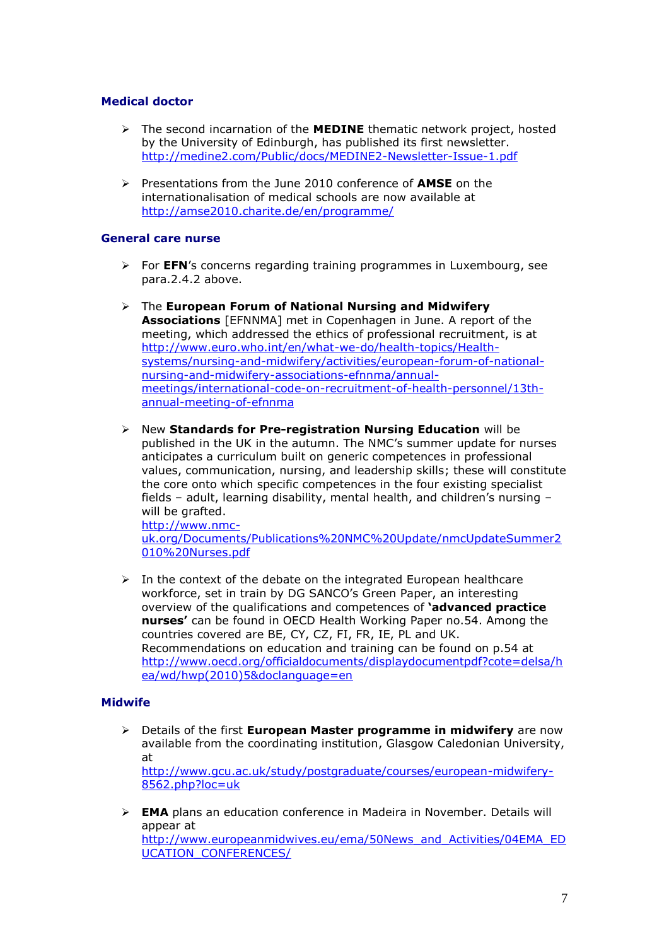### **Medical doctor**

- The second incarnation of the **MEDINE** thematic network project, hosted by the University of Edinburgh, has published its first newsletter. <http://medine2.com/Public/docs/MEDINE2-Newsletter-Issue-1.pdf>
- Presentations from the June 2010 conference of **AMSE** on the internationalisation of medical schools are now available at <http://amse2010.charite.de/en/programme/>

#### **General care nurse**

- For **EFN**"s concerns regarding training programmes in Luxembourg, see para.2.4.2 above.
- The **European Forum of National Nursing and Midwifery Associations** [EFNNMA] met in Copenhagen in June. A report of the meeting, which addressed the ethics of professional recruitment, is at [http://www.euro.who.int/en/what-we-do/health-topics/Health](http://www.euro.who.int/en/what-we-do/health-topics/Health-systems/nursing-and-midwifery/activities/european-forum-of-national-nursing-and-midwifery-associations-efnnma/annual-meetings/international-code-on-recruitment-of-health-personnel/13th-annual-meeting-of-efnnma)[systems/nursing-and-midwifery/activities/european-forum-of-national](http://www.euro.who.int/en/what-we-do/health-topics/Health-systems/nursing-and-midwifery/activities/european-forum-of-national-nursing-and-midwifery-associations-efnnma/annual-meetings/international-code-on-recruitment-of-health-personnel/13th-annual-meeting-of-efnnma)[nursing-and-midwifery-associations-efnnma/annual](http://www.euro.who.int/en/what-we-do/health-topics/Health-systems/nursing-and-midwifery/activities/european-forum-of-national-nursing-and-midwifery-associations-efnnma/annual-meetings/international-code-on-recruitment-of-health-personnel/13th-annual-meeting-of-efnnma)[meetings/international-code-on-recruitment-of-health-personnel/13th](http://www.euro.who.int/en/what-we-do/health-topics/Health-systems/nursing-and-midwifery/activities/european-forum-of-national-nursing-and-midwifery-associations-efnnma/annual-meetings/international-code-on-recruitment-of-health-personnel/13th-annual-meeting-of-efnnma)[annual-meeting-of-efnnma](http://www.euro.who.int/en/what-we-do/health-topics/Health-systems/nursing-and-midwifery/activities/european-forum-of-national-nursing-and-midwifery-associations-efnnma/annual-meetings/international-code-on-recruitment-of-health-personnel/13th-annual-meeting-of-efnnma)
- New **Standards for Pre-registration Nursing Education** will be published in the UK in the autumn. The NMC"s summer update for nurses anticipates a curriculum built on generic competences in professional values, communication, nursing, and leadership skills; these will constitute the core onto which specific competences in the four existing specialist fields – adult, learning disability, mental health, and children"s nursing – will be grafted.

[http://www.nmc](http://www.nmc-uk.org/Documents/Publications%20NMC%20Update/nmcUpdateSummer2010%20Nurses.pdf)[uk.org/Documents/Publications%20NMC%20Update/nmcUpdateSummer2](http://www.nmc-uk.org/Documents/Publications%20NMC%20Update/nmcUpdateSummer2010%20Nurses.pdf) [010%20Nurses.pdf](http://www.nmc-uk.org/Documents/Publications%20NMC%20Update/nmcUpdateSummer2010%20Nurses.pdf)

 $\triangleright$  In the context of the debate on the integrated European healthcare workforce, set in train by DG SANCO's Green Paper, an interesting overview of the qualifications and competences of **"advanced practice nurses"** can be found in OECD Health Working Paper no.54. Among the countries covered are BE, CY, CZ, FI, FR, IE, PL and UK. Recommendations on education and training can be found on p.54 at [http://www.oecd.org/officialdocuments/displaydocumentpdf?cote=delsa/h](http://www.oecd.org/officialdocuments/displaydocumentpdf?cote=delsa/hea/wd/hwp(2010)5&doclanguage=en) [ea/wd/hwp\(2010\)5&doclanguage=en](http://www.oecd.org/officialdocuments/displaydocumentpdf?cote=delsa/hea/wd/hwp(2010)5&doclanguage=en)

#### **Midwife**

- Details of the first **European Master programme in midwifery** are now available from the coordinating institution, Glasgow Caledonian University, at [http://www.gcu.ac.uk/study/postgraduate/courses/european-midwifery-](http://www.gcu.ac.uk/study/postgraduate/courses/european-midwifery-8562.php?loc=uk)[8562.php?loc=uk](http://www.gcu.ac.uk/study/postgraduate/courses/european-midwifery-8562.php?loc=uk)
- **EMA** plans an education conference in Madeira in November. Details will appear at [http://www.europeanmidwives.eu/ema/50News\\_and\\_Activities/04EMA\\_ED](http://www.europeanmidwives.eu/ema/50News_and_Activities/04EMA_EDUCATION_CONFERENCES/) [UCATION\\_CONFERENCES/](http://www.europeanmidwives.eu/ema/50News_and_Activities/04EMA_EDUCATION_CONFERENCES/)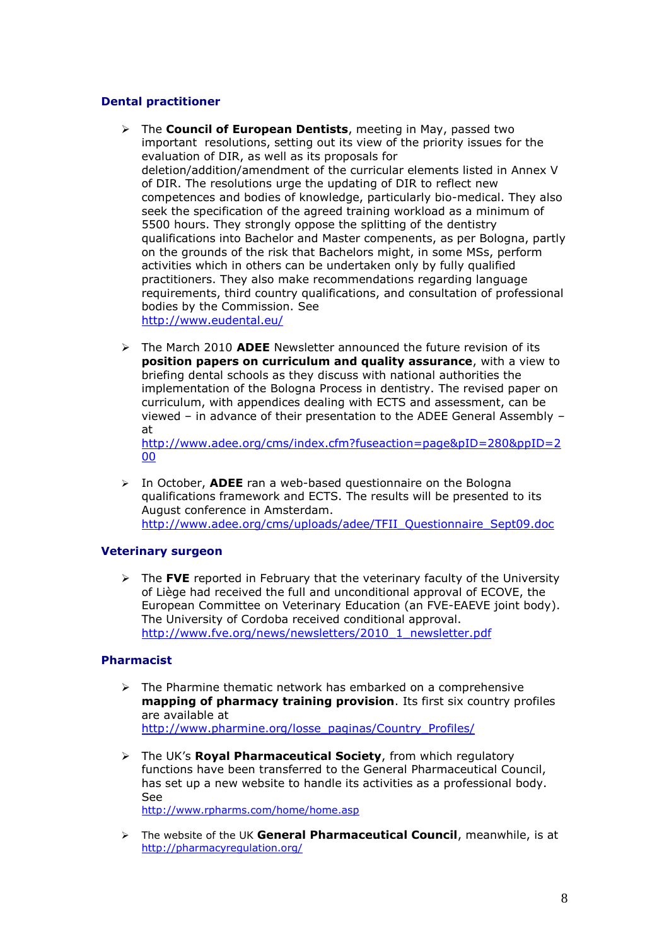### **Dental practitioner**

- The **Council of European Dentists**, meeting in May, passed two important resolutions, setting out its view of the priority issues for the evaluation of DIR, as well as its proposals for deletion/addition/amendment of the curricular elements listed in Annex V of DIR. The resolutions urge the updating of DIR to reflect new competences and bodies of knowledge, particularly bio-medical. They also seek the specification of the agreed training workload as a minimum of 5500 hours. They strongly oppose the splitting of the dentistry qualifications into Bachelor and Master compenents, as per Bologna, partly on the grounds of the risk that Bachelors might, in some MSs, perform activities which in others can be undertaken only by fully qualified practitioners. They also make recommendations regarding language requirements, third country qualifications, and consultation of professional bodies by the Commission. See <http://www.eudental.eu/>
- The March 2010 **ADEE** Newsletter announced the future revision of its **position papers on curriculum and quality assurance**, with a view to briefing dental schools as they discuss with national authorities the implementation of the Bologna Process in dentistry. The revised paper on curriculum, with appendices dealing with ECTS and assessment, can be viewed – in advance of their presentation to the ADEE General Assembly – at

[http://www.adee.org/cms/index.cfm?fuseaction=page&pID=280&ppID=2](http://www.adee.org/cms/index.cfm?fuseaction=page&pID=280&ppID=200) [00](http://www.adee.org/cms/index.cfm?fuseaction=page&pID=280&ppID=200)

 In October, **ADEE** ran a web-based questionnaire on the Bologna qualifications framework and ECTS. The results will be presented to its August conference in Amsterdam. [http://www.adee.org/cms/uploads/adee/TFII\\_Questionnaire\\_Sept09.doc](http://www.adee.org/cms/uploads/adee/TFII_Questionnaire_Sept09.doc)

#### **Veterinary surgeon**

 The **FVE** reported in February that the veterinary faculty of the University of Liège had received the full and unconditional approval of ECOVE, the European Committee on Veterinary Education (an FVE-EAEVE joint body). The University of Cordoba received conditional approval. [http://www.fve.org/news/newsletters/2010\\_1\\_newsletter.pdf](http://www.fve.org/news/newsletters/2010_1_newsletter.pdf)

#### **Pharmacist**

- $\triangleright$  The Pharmine thematic network has embarked on a comprehensive **mapping of pharmacy training provision**. Its first six country profiles are available at [http://www.pharmine.org/losse\\_paginas/Country\\_Profiles/](http://www.pharmine.org/losse_paginas/Country_Profiles/)
- The UK"s **Royal Pharmaceutical Society**, from which regulatory functions have been transferred to the General Pharmaceutical Council, has set up a new website to handle its activities as a professional body. See

<http://www.rpharms.com/home/home.asp>

 The website of the UK **General Pharmaceutical Council**, meanwhile, is at <http://pharmacyregulation.org/>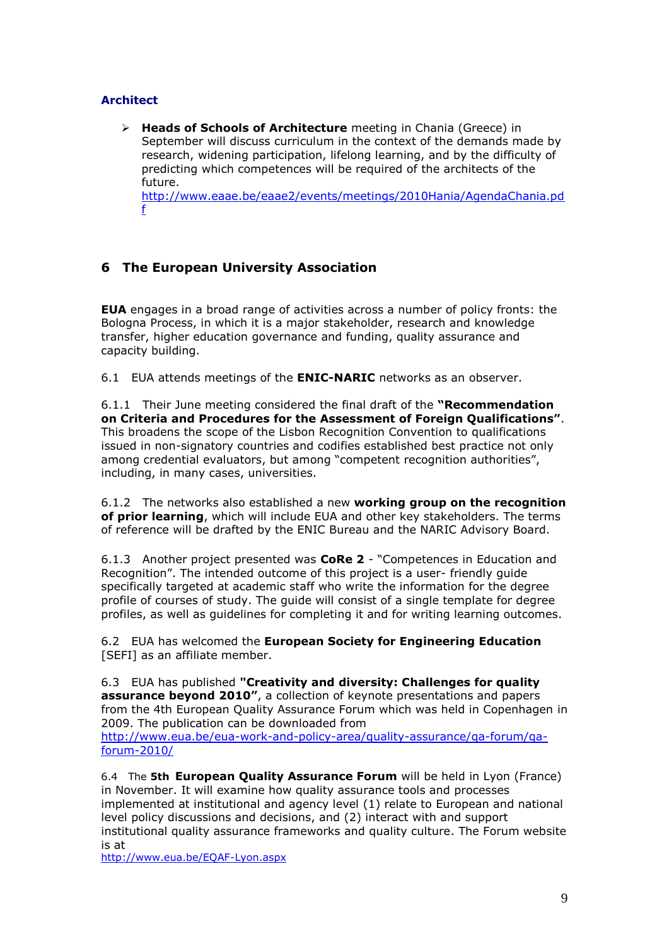### **Architect**

 **Heads of Schools of Architecture** meeting in Chania (Greece) in September will discuss curriculum in the context of the demands made by research, widening participation, lifelong learning, and by the difficulty of predicting which competences will be required of the architects of the future. [http://www.eaae.be/eaae2/events/meetings/2010Hania/AgendaChania.pd](http://www.eaae.be/eaae2/events/meetings/2010Hania/AgendaChania.pdf)

[f](http://www.eaae.be/eaae2/events/meetings/2010Hania/AgendaChania.pdf)

# **6 The European University Association**

**EUA** engages in a broad range of activities across a number of policy fronts: the Bologna Process, in which it is a major stakeholder, research and knowledge transfer, higher education governance and funding, quality assurance and capacity building.

6.1 EUA attends meetings of the **ENIC-NARIC** networks as an observer.

6.1.1 Their June meeting considered the final draft of the **"Recommendation on Criteria and Procedures for the Assessment of Foreign Qualifications"**. This broadens the scope of the Lisbon Recognition Convention to qualifications issued in non-signatory countries and codifies established best practice not only among credential evaluators, but among "competent recognition authorities", including, in many cases, universities.

6.1.2 The networks also established a new **working group on the recognition of prior learning**, which will include EUA and other key stakeholders. The terms of reference will be drafted by the ENIC Bureau and the NARIC Advisory Board.

6.1.3 Another project presented was **CoRe 2** - "Competences in Education and Recognition". The intended outcome of this project is a user- friendly guide specifically targeted at academic staff who write the information for the degree profile of courses of study. The guide will consist of a single template for degree profiles, as well as guidelines for completing it and for writing learning outcomes.

6.2 EUA has welcomed the **European Society for Engineering Education** [SEFI] as an affiliate member.

6.3 EUA has published **"Creativity and diversity: Challenges for quality assurance beyond 2010"**, a collection of keynote presentations and papers from the 4th European Quality Assurance Forum which was held in Copenhagen in 2009. The publication can be downloaded from

[http://www.eua.be/eua-work-and-policy-area/quality-assurance/qa-forum/qa](http://www.eua.be/eua-work-and-policy-area/quality-assurance/qa-forum/qa-forum-2010/)[forum-2010/](http://www.eua.be/eua-work-and-policy-area/quality-assurance/qa-forum/qa-forum-2010/)

6.4 The **5th European Quality Assurance Forum** will be held in Lyon (France) in November. It will examine how quality assurance tools and processes implemented at institutional and agency level (1) relate to European and national level policy discussions and decisions, and (2) interact with and support institutional quality assurance frameworks and quality culture. The Forum website is at

<http://www.eua.be/EQAF-Lyon.aspx>